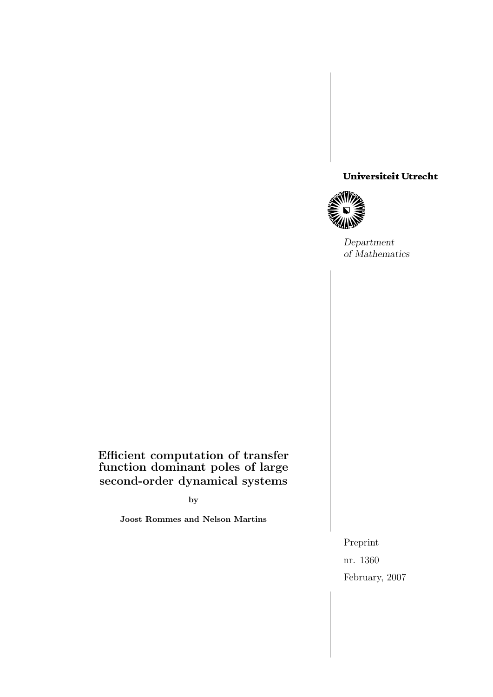# Universiteit Utrecht<br>William<br>Differential



Department of Mathematics

# Efficient computation of transfer function dominant poles of large second-order dynamical systems

by

Joost Rommes and Nelson Martins

Preprint nr. 1360 February, 2007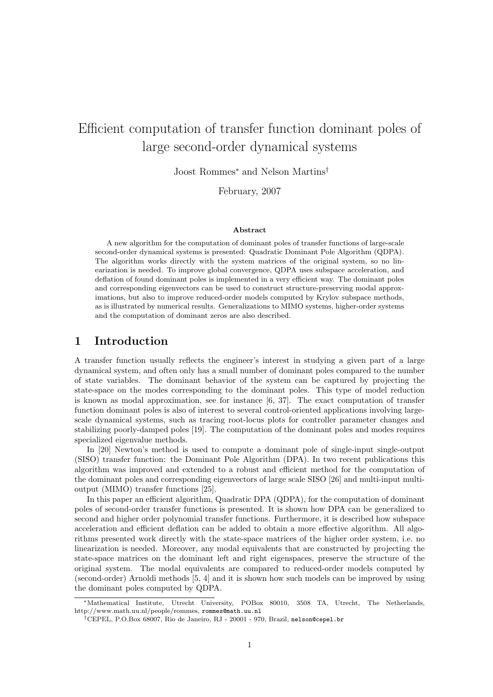# Efficient computation of transfer function dominant poles of large second-order dynamical systems

Joost Rommes<sup>∗</sup> and Nelson Martins†

February, 2007

#### Abstract

A new algorithm for the computation of dominant poles of transfer functions of large-scale second-order dynamical systems is presented: Quadratic Dominant Pole Algorithm (QDPA). The algorithm works directly with the system matrices of the original system, so no linearization is needed. To improve global convergence, QDPA uses subspace acceleration, and deflation of found dominant poles is implemented in a very efficient way. The dominant poles and corresponding eigenvectors can be used to construct structure-preserving modal approximations, but also to improve reduced-order models computed by Krylov subspace methods, as is illustrated by numerical results. Generalizations to MIMO systems, higher-order systems and the computation of dominant zeros are also described.

## 1 Introduction

A transfer function usually reflects the engineer's interest in studying a given part of a large dynamical system, and often only has a small number of dominant poles compared to the number of state variables. The dominant behavior of the system can be captured by projecting the state-space on the modes corresponding to the dominant poles. This type of model reduction is known as modal approximation, see for instance  $[6, 37]$ . The exact computation of transfer function dominant poles is also of interest to several control-oriented applications involving largescale dynamical systems, such as tracing root-locus plots for controller parameter changes and stabilizing poorly-damped poles [19]. The computation of the dominant poles and modes requires specialized eigenvalue methods.

In [20] Newton's method is used to compute a dominant pole of single-input single-output (SISO) transfer function: the Dominant Pole Algorithm (DPA). In two recent publications this algorithm was improved and extended to a robust and efficient method for the computation of the dominant poles and corresponding eigenvectors of large scale SISO [26] and multi-input multioutput (MIMO) transfer functions [25].

In this paper an efficient algorithm, Quadratic DPA (QDPA), for the computation of dominant poles of second-order transfer functions is presented. It is shown how DPA can be generalized to second and higher order polynomial transfer functions. Furthermore, it is described how subspace acceleration and efficient deflation can be added to obtain a more effective algorithm. All algorithms presented work directly with the state-space matrices of the higher order system, i.e. no linearization is needed. Moreover, any modal equivalents that are constructed by projecting the state-space matrices on the dominant left and right eigenspaces, preserve the structure of the original system. The modal equivalents are compared to reduced-order models computed by (second-order) Arnoldi methods [5, 4] and it is shown how such models can be improved by using the dominant poles computed by QDPA.

<sup>∗</sup>Mathematical Institute, Utrecht University, POBox 80010, 3508 TA, Utrecht, The Netherlands, http://www.math.uu.nl/people/rommes, rommes@math.uu.nl

<sup>†</sup>CEPEL, P.O.Box 68007, Rio de Janeiro, RJ - 20001 - 970, Brazil, nelson@cepel.br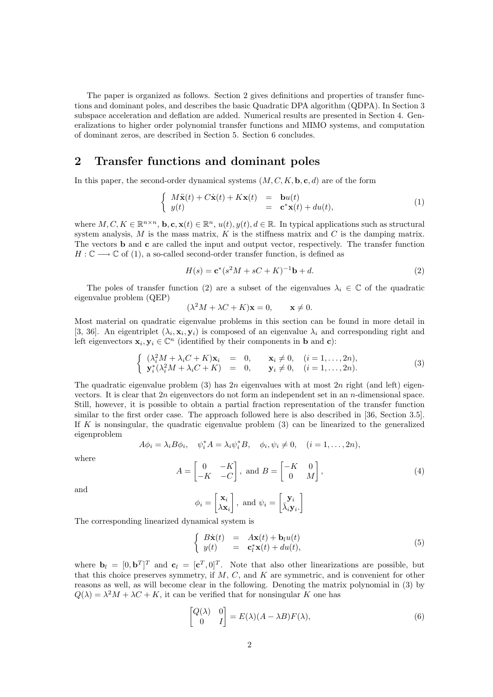The paper is organized as follows. Section 2 gives definitions and properties of transfer functions and dominant poles, and describes the basic Quadratic DPA algorithm (QDPA). In Section 3 subspace acceleration and deflation are added. Numerical results are presented in Section 4. Generalizations to higher order polynomial transfer functions and MIMO systems, and computation of dominant zeros, are described in Section 5. Section 6 concludes.

# 2 Transfer functions and dominant poles

In this paper, the second-order dynamical systems  $(M, C, K, \mathbf{b}, \mathbf{c}, d)$  are of the form

$$
\begin{cases}\nM\ddot{\mathbf{x}}(t) + C\dot{\mathbf{x}}(t) + K\mathbf{x}(t) & = \mathbf{b}u(t) \\
y(t) & = \mathbf{c}^*\mathbf{x}(t) + du(t),\n\end{cases} (1)
$$

where  $M, C, K \in \mathbb{R}^{n \times n}$ ,  $\mathbf{b}, \mathbf{c}, \mathbf{x}(t) \in \mathbb{R}^n$ ,  $u(t), y(t), d \in \mathbb{R}$ . In typical applications such as structural system analysis, M is the mass matrix, K is the stiffness matrix and C is the damping matrix. The vectors b and c are called the input and output vector, respectively. The transfer function  $H: \mathbb{C} \longrightarrow \mathbb{C}$  of (1), a so-called second-order transfer function, is defined as

$$
H(s) = \mathbf{c}^*(s^2 M + sC + K)^{-1}\mathbf{b} + d.
$$
 (2)

The poles of transfer function (2) are a subset of the eigenvalues  $\lambda_i \in \mathbb{C}$  of the quadratic eigenvalue problem (QEP)

$$
(\lambda^2 M + \lambda C + K)\mathbf{x} = 0, \quad \mathbf{x} \neq 0.
$$

Most material on quadratic eigenvalue problems in this section can be found in more detail in [3, 36]. An eigentriplet  $(\lambda_i, \mathbf{x}_i, \mathbf{y}_i)$  is composed of an eigenvalue  $\lambda_i$  and corresponding right and left eigenvectors  $\mathbf{x}_i, \mathbf{y}_i \in \mathbb{C}^n$  (identified by their components in **b** and **c**):

$$
\begin{cases}\n(\lambda_i^2 M + \lambda_i C + K)\mathbf{x}_i = 0, & \mathbf{x}_i \neq 0, \quad (i = 1, \dots, 2n), \\
\mathbf{y}_i^*(\lambda_i^2 M + \lambda_i C + K) = 0, & \mathbf{y}_i \neq 0, \quad (i = 1, \dots, 2n).\n\end{cases}
$$
\n(3)

, and  $B = \begin{bmatrix} -K & 0 \\ 0 & 0 \end{bmatrix}$ 

The quadratic eigenvalue problem  $(3)$  has  $2n$  eigenvalues with at most  $2n$  right (and left) eigenvectors. It is clear that  $2n$  eigenvectors do not form an independent set in an n-dimensional space. Still, however, it is possible to obtain a partial fraction representation of the transfer function similar to the first order case. The approach followed here is also described in [36, Section 3.5]. If K is nonsingular, the quadratic eigenvalue problem  $(3)$  can be linearized to the generalized eigenproblem

$$
A\phi_i = \lambda_i B\phi_i, \quad \psi_i^* A = \lambda_i \psi_i^* B, \quad \phi_i, \psi_i \neq 0, \quad (i = 1, \dots, 2n),
$$

 $A = \begin{bmatrix} 0 & -K \\ K & C \end{bmatrix}$  $-K$  −C

where

and

$$
\phi_i = \begin{bmatrix} \mathbf{x}_i \\ \lambda \mathbf{x}_i \end{bmatrix}, \text{ and } \psi_i = \begin{bmatrix} \mathbf{y}_i \\ \bar{\lambda}_i \mathbf{y}_i. \end{bmatrix}
$$

The corresponding linearized dynamical system is

$$
\begin{cases}\nB\dot{\mathbf{x}}(t) = A\mathbf{x}(t) + \mathbf{b}_l u(t) \\
y(t) = \mathbf{c}_l^* \mathbf{x}(t) + du(t),\n\end{cases} \tag{5}
$$

0 M

1

 $, \qquad (4)$ 

where  $\mathbf{b}_l = [0, \mathbf{b}^T]^T$  and  $\mathbf{c}_l = [\mathbf{c}^T, 0]^T$ . Note that also other linearizations are possible, but that this choice preserves symmetry, if  $M$ ,  $C$ , and  $K$  are symmetric, and is convenient for other reasons as well, as will become clear in the following. Denoting the matrix polynomial in (3) by  $Q(\lambda) = \lambda^2 M + \lambda C + K$ , it can be verified that for nonsingular K one has

$$
\begin{bmatrix} Q(\lambda) & 0 \\ 0 & I \end{bmatrix} = E(\lambda)(A - \lambda B)F(\lambda),\tag{6}
$$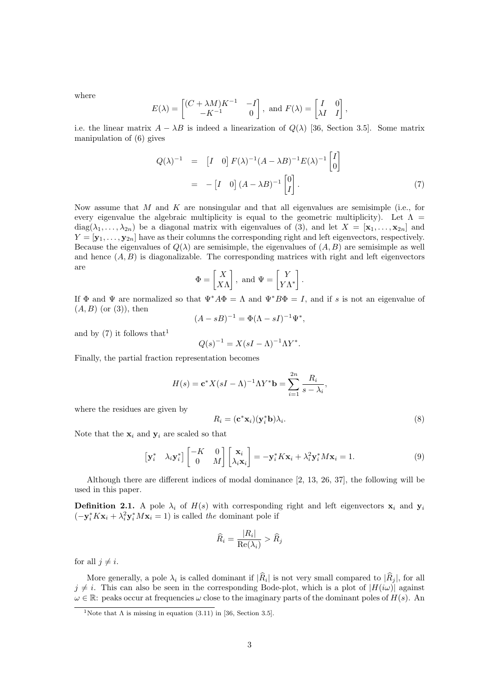where

$$
E(\lambda) = \begin{bmatrix} (C + \lambda M)K^{-1} & -I \\ -K^{-1} & 0 \end{bmatrix}, \text{ and } F(\lambda) = \begin{bmatrix} I & 0 \\ \lambda I & I \end{bmatrix},
$$

i.e. the linear matrix  $A - \lambda B$  is indeed a linearization of  $Q(\lambda)$  [36, Section 3.5]. Some matrix manipulation of (6) gives

$$
Q(\lambda)^{-1} = \begin{bmatrix} I & 0 \end{bmatrix} F(\lambda)^{-1} (A - \lambda B)^{-1} E(\lambda)^{-1} \begin{bmatrix} I \\ 0 \end{bmatrix}
$$

$$
= -\begin{bmatrix} I & 0 \end{bmatrix} (A - \lambda B)^{-1} \begin{bmatrix} 0 \\ I \end{bmatrix} . \tag{7}
$$

.

Now assume that M and K are nonsingular and that all eigenvalues are semisimple (i.e., for every eigenvalue the algebraic multiplicity is equal to the geometric multiplicity). Let  $\Lambda =$  $diag(\lambda_1,\ldots,\lambda_{2n})$  be a diagonal matrix with eigenvalues of (3), and let  $X = [\mathbf{x}_1,\ldots,\mathbf{x}_{2n}]$  and  $Y = [\mathbf{y}_1, \dots, \mathbf{y}_{2n}]$  have as their columns the corresponding right and left eigenvectors, respectively. Because the eigenvalues of  $Q(\lambda)$  are semisimple, the eigenvalues of  $(A, B)$  are semisimple as well and hence  $(A, B)$  is diagonalizable. The corresponding matrices with right and left eigenvectors are

$$
\Phi = \begin{bmatrix} X \\ X \Lambda \end{bmatrix}, \text{ and } \Psi = \begin{bmatrix} Y \\ Y \Lambda^* \end{bmatrix}
$$

If  $\Phi$  and  $\Psi$  are normalized so that  $\Psi^* A \Phi = \Lambda$  and  $\Psi^* B \Phi = I$ , and if s is not an eigenvalue of  $(A, B)$  (or  $(3)$ ), then

$$
(A - sB)^{-1} = \Phi(\Lambda - sI)^{-1}\Psi^*,
$$

and by  $(7)$  it follows that<sup>1</sup>

$$
Q(s)^{-1} = X(sI - \Lambda)^{-1} \Lambda Y^*.
$$

Finally, the partial fraction representation becomes

$$
H(s) = \mathbf{c}^* X (sI - \Lambda)^{-1} \Lambda Y^* \mathbf{b} = \sum_{i=1}^{2n} \frac{R_i}{s - \lambda_i},
$$

where the residues are given by

$$
R_i = (\mathbf{c}^* \mathbf{x}_i)(\mathbf{y}_i^* \mathbf{b}) \lambda_i.
$$
 (8)

Note that the  $x_i$  and  $y_i$  are scaled so that

$$
\begin{bmatrix} \mathbf{y}_i^* & \lambda_i \mathbf{y}_i^* \end{bmatrix} \begin{bmatrix} -K & 0 \\ 0 & M \end{bmatrix} \begin{bmatrix} \mathbf{x}_i \\ \lambda_i \mathbf{x}_i \end{bmatrix} = -\mathbf{y}_i^* K \mathbf{x}_i + \lambda_i^2 \mathbf{y}_i^* M \mathbf{x}_i = 1.
$$
 (9)

Although there are different indices of modal dominance [2, 13, 26, 37], the following will be used in this paper.

**Definition 2.1.** A pole  $\lambda_i$  of  $H(s)$  with corresponding right and left eigenvectors  $\mathbf{x}_i$  and  $\mathbf{y}_i$  $(-\mathbf{y}_i^* K \mathbf{x}_i + \lambda_i^2 \mathbf{y}_i^* M \mathbf{x}_i = 1)$  is called the dominant pole if

$$
\widehat{R}_i = \frac{|R_i|}{\text{Re}(\lambda_i)} > \widehat{R}_j
$$

for all  $j \neq i$ .

More generally, a pole  $\lambda_i$  is called dominant if  $|R_i|$  is not very small compared to  $|R_j|$ , for all  $j \neq i$ . This can also be seen in the corresponding Bode-plot, which is a plot of  $|H(i\omega)|$  against  $\omega \in \mathbb{R}$ : peaks occur at frequencies  $\omega$  close to the imaginary parts of the dominant poles of  $H(s)$ . An

<sup>&</sup>lt;sup>1</sup>Note that  $\Lambda$  is missing in equation (3.11) in [36, Section 3.5].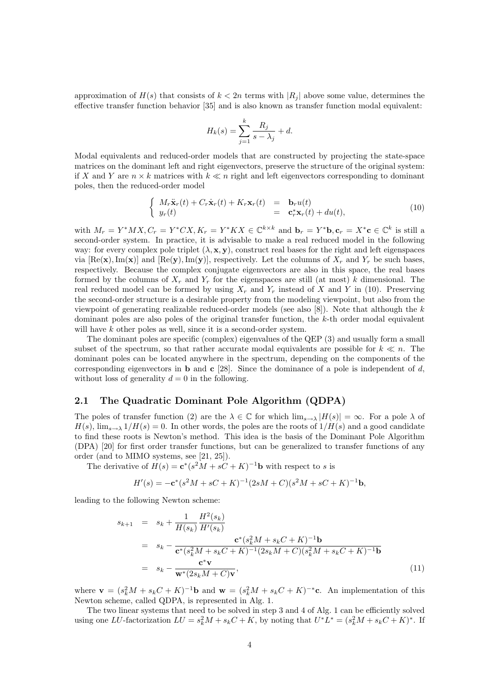approximation of  $H(s)$  that consists of  $k < 2n$  terms with  $|R_i|$  above some value, determines the effective transfer function behavior [35] and is also known as transfer function modal equivalent:

$$
H_k(s) = \sum_{j=1}^k \frac{R_j}{s - \lambda_j} + d.
$$

Modal equivalents and reduced-order models that are constructed by projecting the state-space matrices on the dominant left and right eigenvectors, preserve the structure of the original system: if X and Y are  $n \times k$  matrices with  $k \ll n$  right and left eigenvectors corresponding to dominant poles, then the reduced-order model

$$
\begin{cases}\nM_r \ddot{\mathbf{x}}_r(t) + C_r \dot{\mathbf{x}}_r(t) + K_r \mathbf{x}_r(t) & = \mathbf{b}_r u(t) \\
y_r(t) & = \mathbf{c}_r^* \mathbf{x}_r(t) + du(t),\n\end{cases} (10)
$$

with  $M_r = Y^*MX, C_r = Y^*CX, K_r = Y^*KX \in \mathbb{C}^{k \times k}$  and  $\mathbf{b}_r = Y^*\mathbf{b}, \mathbf{c}_r = X^*\mathbf{c} \in \mathbb{C}^k$  is still a second-order system. In practice, it is advisable to make a real reduced model in the following way: for every complex pole triplet  $(\lambda, \mathbf{x}, \mathbf{y})$ , construct real bases for the right and left eigenspaces via  $[Re(\mathbf{x}), Im(\mathbf{x})]$  and  $[Re(\mathbf{y}), Im(\mathbf{y})]$ , respectively. Let the columns of  $X_r$  and  $Y_r$  be such bases, respectively. Because the complex conjugate eigenvectors are also in this space, the real bases formed by the columns of  $X_r$  and  $Y_r$  for the eigenspaces are still (at most) k dimensional. The real reduced model can be formed by using  $X_r$  and  $Y_r$  instead of X and Y in (10). Preserving the second-order structure is a desirable property from the modeling viewpoint, but also from the viewpoint of generating realizable reduced-order models (see also  $[8]$ ). Note that although the k dominant poles are also poles of the original transfer function, the k-th order modal equivalent will have k other poles as well, since it is a second-order system.

The dominant poles are specific (complex) eigenvalues of the QEP (3) and usually form a small subset of the spectrum, so that rather accurate modal equivalents are possible for  $k \ll n$ . The dominant poles can be located anywhere in the spectrum, depending on the components of the corresponding eigenvectors in **b** and **c** [28]. Since the dominance of a pole is independent of d, without loss of generality  $d = 0$  in the following.

#### 2.1 The Quadratic Dominant Pole Algorithm (QDPA)

The poles of transfer function (2) are the  $\lambda \in \mathbb{C}$  for which  $\lim_{s\to\lambda} |H(s)| = \infty$ . For a pole  $\lambda$  of  $H(s)$ ,  $\lim_{s\to\lambda} 1/H(s) = 0$ . In other words, the poles are the roots of  $1/H(s)$  and a good candidate to find these roots is Newton's method. This idea is the basis of the Dominant Pole Algorithm (DPA) [20] for first order transfer functions, but can be generalized to transfer functions of any order (and to MIMO systems, see [21, 25]).

The derivative of  $H(s) = \mathbf{c}^*(s^2M + sC + K)^{-1}\mathbf{b}$  with respect to s is

$$
H'(s) = -\mathbf{c}^*(s^2M + sC + K)^{-1}(2sM + C)(s^2M + sC + K)^{-1}\mathbf{b},
$$

leading to the following Newton scheme:

$$
s_{k+1} = s_k + \frac{1}{H(s_k)} \frac{H^2(s_k)}{H'(s_k)}
$$
  
=  $s_k - \frac{\mathbf{c}^*(s_k^2 M + s_k C + K)^{-1} \mathbf{b}}{\mathbf{c}^*(s_k^2 M + s_k C + K)^{-1} (2s_k M + C)(s_k^2 M + s_k C + K)^{-1} \mathbf{b}}$   
=  $s_k - \frac{\mathbf{c}^* \mathbf{v}}{\mathbf{w}^*(2s_k M + C) \mathbf{v}},$  (11)

where  $\mathbf{v} = (s_k^2 M + s_k C + K)^{-1} \mathbf{b}$  and  $\mathbf{w} = (s_k^2 M + s_k C + K)^{-*} \mathbf{c}$ . An implementation of this Newton scheme, called QDPA, is represented in Alg. 1.

The two linear systems that need to be solved in step 3 and 4 of Alg. 1 can be efficiently solved using one LU-factorization  $LU = s_k^2M + s_kC + K$ , by noting that  $U^*L^* = (s_k^2M + s_kC + K)^*$ . If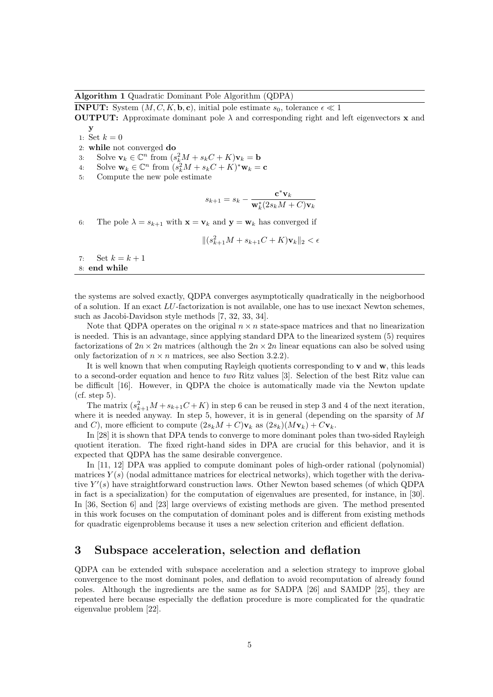#### Algorithm 1 Quadratic Dominant Pole Algorithm (QDPA)

**INPUT:** System  $(M, C, K, \mathbf{b}, \mathbf{c})$ , initial pole estimate  $s_0$ , tolerance  $\epsilon \ll 1$ 

**OUTPUT:** Approximate dominant pole  $\lambda$  and corresponding right and left eigenvectors **x** and y

- 1: Set  $k = 0$
- 2: while not converged do

3: Solve  $\mathbf{v}_k \in \mathbb{C}^n$  from  $(s_k^2 M + s_k C + K)\mathbf{v}_k = \mathbf{b}$ 

- 4: Solve  $\mathbf{w}_k \in \mathbb{C}^n$  from  $(s_k^2 M + s_k C + K)^* \mathbf{w}_k = \mathbf{c}$
- 5: Compute the new pole estimate

$$
s_{k+1} = s_k - \frac{\mathbf{c}^*\mathbf{v}_k}{\mathbf{w}_k^*(2s_kM+C)\mathbf{v}_k}
$$

6: The pole  $\lambda = s_{k+1}$  with  $\mathbf{x} = \mathbf{v}_k$  and  $\mathbf{y} = \mathbf{w}_k$  has converged if

$$
\|(s_{k+1}^2 M + s_{k+1}C + K)\mathbf{v}_k\|_2 < \epsilon
$$

7: Set  $k = k + 1$ 8: end while

the systems are solved exactly, QDPA converges asymptotically quadratically in the neigborhood of a solution. If an exact LU-factorization is not available, one has to use inexact Newton schemes, such as Jacobi-Davidson style methods [7, 32, 33, 34].

Note that QDPA operates on the original  $n \times n$  state-space matrices and that no linearization is needed. This is an advantage, since applying standard DPA to the linearized system (5) requires factorizations of  $2n \times 2n$  matrices (although the  $2n \times 2n$  linear equations can also be solved using only factorization of  $n \times n$  matrices, see also Section 3.2.2).

It is well known that when computing Rayleigh quotients corresponding to v and w, this leads to a second-order equation and hence to two Ritz values [3]. Selection of the best Ritz value can be difficult [16]. However, in QDPA the choice is automatically made via the Newton update (cf. step 5).

The matrix  $(s_{k+1}^2M + s_{k+1}C + K)$  in step 6 can be reused in step 3 and 4 of the next iteration, where it is needed anyway. In step 5, however, it is in general (depending on the sparsity of  $M$ and C), more efficient to compute  $(2s_kM+C)\mathbf{v}_k$  as  $(2s_k)(M\mathbf{v}_k)+C\mathbf{v}_k$ .

In [28] it is shown that DPA tends to converge to more dominant poles than two-sided Rayleigh quotient iteration. The fixed right-hand sides in DPA are crucial for this behavior, and it is expected that QDPA has the same desirable convergence.

In [11, 12] DPA was applied to compute dominant poles of high-order rational (polynomial) matrices  $Y(s)$  (nodal admittance matrices for electrical networks), which together with the derivative  $Y'(s)$  have straightforward construction laws. Other Newton based schemes (of which QDPA in fact is a specialization) for the computation of eigenvalues are presented, for instance, in [30]. In [36, Section 6] and [23] large overviews of existing methods are given. The method presented in this work focuses on the computation of dominant poles and is different from existing methods for quadratic eigenproblems because it uses a new selection criterion and efficient deflation.

# 3 Subspace acceleration, selection and deflation

QDPA can be extended with subspace acceleration and a selection strategy to improve global convergence to the most dominant poles, and deflation to avoid recomputation of already found poles. Although the ingredients are the same as for SADPA [26] and SAMDP [25], they are repeated here because especially the deflation procedure is more complicated for the quadratic eigenvalue problem [22].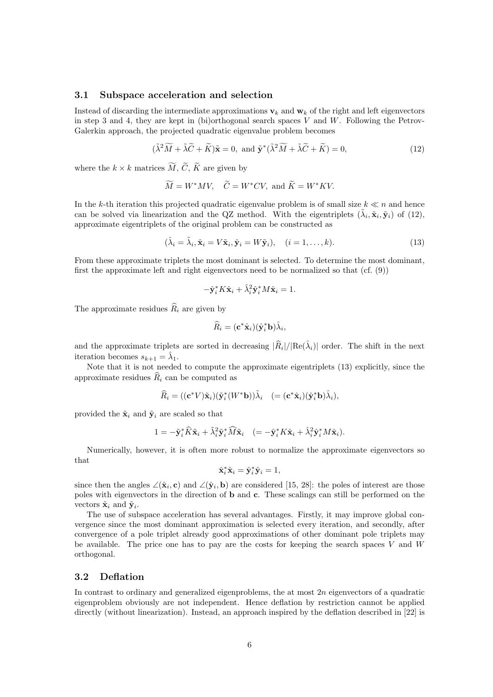#### 3.1 Subspace acceleration and selection

Instead of discarding the intermediate approximations  $v_k$  and  $w_k$  of the right and left eigenvectors in step 3 and 4, they are kept in (bi)orthogonal search spaces V and W. Following the Petrov-Galerkin approach, the projected quadratic eigenvalue problem becomes

$$
(\tilde{\lambda}^2 \widetilde{M} + \tilde{\lambda} \widetilde{C} + \widetilde{K}) \tilde{\mathbf{x}} = 0, \text{ and } \tilde{\mathbf{y}}^* (\tilde{\lambda}^2 \widetilde{M} + \tilde{\lambda} \widetilde{C} + \widetilde{K}) = 0,
$$
\n(12)

where the  $k \times k$  matrices  $\widetilde{M}$ ,  $\widetilde{C}$ ,  $\widetilde{K}$  are given by

$$
\widetilde{M} = W^*MV
$$
,  $\widetilde{C} = W^*CV$ , and  $\widetilde{K} = W^*KV$ .

In the k-th iteration this projected quadratic eigenvalue problem is of small size  $k \ll n$  and hence can be solved via linearization and the QZ method. With the eigentriplets  $(\tilde{\lambda}_i, \tilde{\mathbf{x}}_i, \tilde{\mathbf{y}}_i)$  of (12), approximate eigentriplets of the original problem can be constructed as

$$
(\hat{\lambda}_i = \tilde{\lambda}_i, \hat{\mathbf{x}}_i = V\tilde{\mathbf{x}}_i, \hat{\mathbf{y}}_i = W\tilde{\mathbf{y}}_i), \quad (i = 1, \dots, k). \tag{13}
$$

From these approximate triplets the most dominant is selected. To determine the most dominant, first the approximate left and right eigenvectors need to be normalized so that (cf. (9))

$$
-\hat{\mathbf{y}}_i^* K \hat{\mathbf{x}}_i + \hat{\lambda}_i^2 \hat{\mathbf{y}}_i^* M \hat{\mathbf{x}}_i = 1.
$$

The approximate residues  $\widehat{R}_i$  are given by

$$
\widehat{R}_i = (\mathbf{c}^* \hat{\mathbf{x}}_i)(\hat{\mathbf{y}}_i^* \mathbf{b}) \widehat{\lambda}_i,
$$

and the approximate triplets are sorted in decreasing  $|\widehat{R}_i|/|Re(\hat{\lambda}_i)|$  order. The shift in the next iteration becomes  $s_{k+1} = \hat{\lambda}_1$ .

Note that it is not needed to compute the approximate eigentriplets (13) explicitly, since the approximate residues  $\widehat{R}_i$  can be computed as

$$
\widehat{R}_i = ((\mathbf{c}^* V)\tilde{\mathbf{x}}_i)(\tilde{\mathbf{y}}_i^*(W^*\mathbf{b}))\tilde{\lambda}_i \quad (=(\mathbf{c}^*\hat{\mathbf{x}}_i)(\hat{\mathbf{y}}_i^*\mathbf{b})\hat{\lambda}_i),
$$

provided the  $\tilde{\mathbf{x}}_i$  and  $\tilde{\mathbf{y}}_i$  are scaled so that

$$
1 = -\tilde{\mathbf{y}}_i^* \widehat{K} \tilde{\mathbf{x}}_i + \tilde{\lambda}_i^2 \tilde{\mathbf{y}}_i^* \widehat{M} \tilde{\mathbf{x}}_i \quad (=-\hat{\mathbf{y}}_i^* K \hat{\mathbf{x}}_i + \hat{\lambda}_i^2 \hat{\mathbf{y}}_i^* M \hat{\mathbf{x}}_i).
$$

Numerically, however, it is often more robust to normalize the approximate eigenvectors so that

$$
\hat{\mathbf{x}}_i^* \hat{\mathbf{x}}_i = \hat{\mathbf{y}}_i^* \hat{\mathbf{y}}_i = 1,
$$

since then the angles  $\angle(\hat{\mathbf{x}}_i, \mathbf{c})$  and  $\angle(\hat{\mathbf{y}}_i, \mathbf{b})$  are considered [15, 28]: the poles of interest are those poles with eigenvectors in the direction of b and c. These scalings can still be performed on the vectors  $\tilde{\mathbf{x}}_i$  and  $\tilde{\mathbf{y}}_i$ .

The use of subspace acceleration has several advantages. Firstly, it may improve global convergence since the most dominant approximation is selected every iteration, and secondly, after convergence of a pole triplet already good approximations of other dominant pole triplets may be available. The price one has to pay are the costs for keeping the search spaces  $V$  and  $W$ orthogonal.

#### 3.2 Deflation

In contrast to ordinary and generalized eigenproblems, the at most  $2n$  eigenvectors of a quadratic eigenproblem obviously are not independent. Hence deflation by restriction cannot be applied directly (without linearization). Instead, an approach inspired by the deflation described in [22] is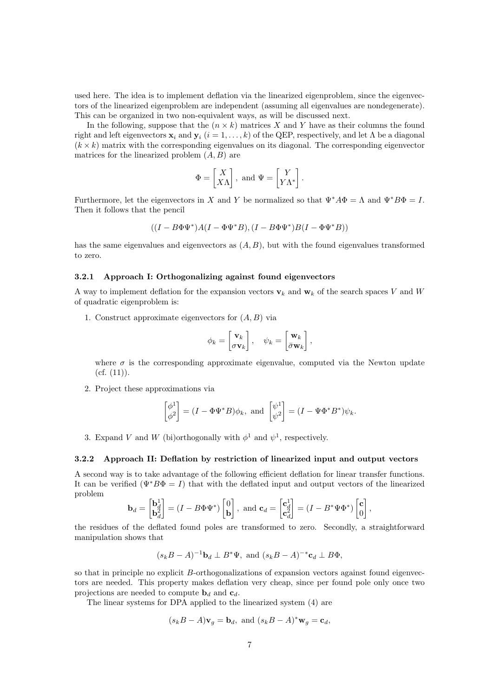used here. The idea is to implement deflation via the linearized eigenproblem, since the eigenvectors of the linearized eigenproblem are independent (assuming all eigenvalues are nondegenerate). This can be organized in two non-equivalent ways, as will be discussed next.

In the following, suppose that the  $(n \times k)$  matrices X and Y have as their columns the found right and left eigenvectors  $x_i$  and  $y_i$  ( $i = 1, ..., k$ ) of the QEP, respectively, and let Λ be a diagonal  $(k \times k)$  matrix with the corresponding eigenvalues on its diagonal. The corresponding eigenvector matrices for the linearized problem  $(A, B)$  are

$$
\Phi = \begin{bmatrix} X \\ X\Lambda \end{bmatrix}, \text{ and } \Psi = \begin{bmatrix} Y \\ Y\Lambda^* \end{bmatrix}.
$$

Furthermore, let the eigenvectors in X and Y be normalized so that  $\Psi^* A \Phi = \Lambda$  and  $\Psi^* B \Phi = I$ . Then it follows that the pencil

$$
((I - B\Phi\Psi^*)A(I - \Phi\Psi^*B), (I - B\Phi\Psi^*)B(I - \Phi\Psi^*B))
$$

has the same eigenvalues and eigenvectors as  $(A, B)$ , but with the found eigenvalues transformed to zero.

#### 3.2.1 Approach I: Orthogonalizing against found eigenvectors

A way to implement deflation for the expansion vectors  $v_k$  and  $w_k$  of the search spaces V and W of quadratic eigenproblem is:

1. Construct approximate eigenvectors for  $(A, B)$  via

$$
\phi_k = \begin{bmatrix} \mathbf{v}_k \\ \sigma \mathbf{v}_k \end{bmatrix}, \quad \psi_k = \begin{bmatrix} \mathbf{w}_k \\ \bar{\sigma} \mathbf{w}_k \end{bmatrix},
$$

where  $\sigma$  is the corresponding approximate eigenvalue, computed via the Newton update  $(cf. (11)).$ 

2. Project these approximations via

$$
\begin{bmatrix} \phi^1 \\ \phi^2 \end{bmatrix} = (I - \Phi \Psi^* B)\phi_k, \text{ and } \begin{bmatrix} \psi^1 \\ \psi^2 \end{bmatrix} = (I - \Psi \Phi^* B^*)\psi_k.
$$

3. Expand V and W (bi)orthogonally with  $\phi^1$  and  $\psi^1$ , respectively.

#### 3.2.2 Approach II: Deflation by restriction of linearized input and output vectors

A second way is to take advantage of the following efficient deflation for linear transfer functions. It can be verified  $(\Psi^*B\Phi = I)$  that with the deflated input and output vectors of the linearized problem

$$
\mathbf{b}_d = \begin{bmatrix} \mathbf{b}_d^1 \\ \mathbf{b}_d^2 \end{bmatrix} = (I - B\Phi \Psi^*) \begin{bmatrix} 0 \\ \mathbf{b} \end{bmatrix}, \text{ and } \mathbf{c}_d = \begin{bmatrix} \mathbf{c}_d^1 \\ \mathbf{c}_d^2 \end{bmatrix} = (I - B^* \Psi \Phi^*) \begin{bmatrix} \mathbf{c} \\ 0 \end{bmatrix},
$$

the residues of the deflated found poles are transformed to zero. Secondly, a straightforward manipulation shows that

$$
(s_k B - A)^{-1} \mathbf{b}_d \perp B^* \Psi
$$
, and  $(s_k B - A)^{-*} \mathbf{c}_d \perp B \Phi$ ,

so that in principle no explicit B-orthogonalizations of expansion vectors against found eigenvectors are needed. This property makes deflation very cheap, since per found pole only once two projections are needed to compute  $\mathbf{b}_d$  and  $\mathbf{c}_d$ .

The linear systems for DPA applied to the linearized system (4) are

$$
(s_k B - A)\mathbf{v}_g = \mathbf{b}_d
$$
, and  $(s_k B - A)^* \mathbf{w}_g = \mathbf{c}_d$ ,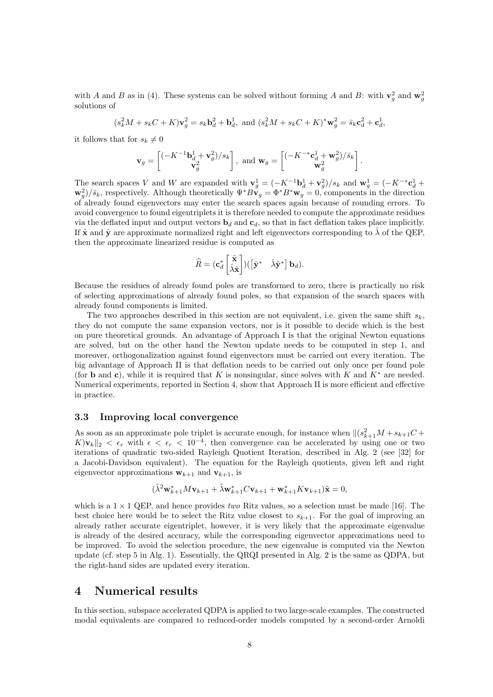with A and B as in (4). These systems can be solved without forming A and B: with  $\mathbf{v}_g^2$  and  $\mathbf{w}_g^2$ solutions of

$$
(s_k^2 M + s_k C + K)\mathbf{v}_g^2 = s_k \mathbf{b}_d^2 + \mathbf{b}_d^1, \text{ and } (s_k^2 M + s_k C + K)^* \mathbf{w}_g^2 = \bar{s}_k \mathbf{c}_d^2 + \mathbf{c}_d^1,
$$

it follows that for  $s_k \neq 0$ 

$$
\mathbf{v}_g = \begin{bmatrix} (-K^{-1}\mathbf{b}_d^1 + \mathbf{v}_g^2)/s_k \\ \mathbf{v}_g^2 \end{bmatrix}, \text{ and } \mathbf{w}_g = \begin{bmatrix} (-K^{-*}\mathbf{c}_d^1 + \mathbf{w}_g^2)/\bar{s}_k \\ \mathbf{w}_g^2 \end{bmatrix}.
$$

The search spaces V and W are expanded with  $\mathbf{v}_g^1 = (-K^{-1}\mathbf{b}_d^1 + \mathbf{v}_g^2)/s_k$  and  $\mathbf{w}_g^1 = (-K^{-*}\mathbf{c}_d^1 + \mathbf{v}_g^2)$  $\mathbf{w}_g^2/\bar{s}_k$ , respectively. Although theoretically  $\Psi^*B\mathbf{v}_g = \Phi^*B^*\mathbf{w}_g = 0$ , components in the direction of already found eigenvectors may enter the search spaces again because of rounding errors. To avoid convergence to found eigentriplets it is therefore needed to compute the approximate residues via the deflated input and output vectors  $\mathbf{b}_d$  and  $\mathbf{c}_d$ , so that in fact deflation takes place implicitly. If  $\hat{\mathbf{x}}$  and  $\hat{\mathbf{y}}$  are approximate normalized right and left eigenvectors corresponding to  $\hat{\lambda}$  of the QEP. then the approximate linearized residue is computed as

$$
\widehat{R} = (\mathbf{c}_d^* \begin{bmatrix} \hat{\mathbf{x}} \\ \hat{\lambda} \hat{\mathbf{x}} \end{bmatrix}) (\begin{bmatrix} \hat{\mathbf{y}}^* & \hat{\lambda} \hat{\mathbf{y}}^* \end{bmatrix} \mathbf{b}_d).
$$

Because the residues of already found poles are transformed to zero, there is practically no risk of selecting approximations of already found poles, so that expansion of the search spaces with already found components is limited.

The two approaches described in this section are not equivalent, i.e. given the same shift  $s_k$ , they do not compute the same expansion vectors, nor is it possible to decide which is the best on pure theoretical grounds. An advantage of Approach I is that the original Newton equations are solved, but on the other hand the Newton update needs to be computed in step 1, and moreover, orthogonalization against found eigenvectors must be carried out every iteration. The big advantage of Approach II is that deflation needs to be carried out only once per found pole (for **b** and **c**), while it is required that K is nonsingular, since solves with K and  $K^*$  are needed. Numerical experiments, reported in Section 4, show that Approach II is more efficient and effective in practice.

#### 3.3 Improving local convergence

As soon as an approximate pole triplet is accurate enough, for instance when  $\|(s_{k+1}^2M + s_{k+1}C +$ K) $v_k||_2 < \epsilon_r$  with  $\epsilon < \epsilon_r < 10^{-4}$ , then convergence can be accelerated by using one or two iterations of quadratic two-sided Rayleigh Quotient Iteration, described in Alg. 2 (see [32] for a Jacobi-Davidson equivalent). The equation for the Rayleigh quotients, given left and right eigenvector approximations  $\mathbf{w}_{k+1}$  and  $\mathbf{v}_{k+1}$ , is

$$
(\tilde{\lambda}^2 \mathbf{w}_{k+1}^* M \mathbf{v}_{k+1} + \tilde{\lambda} \mathbf{w}_{k+1}^* C \mathbf{v}_{k+1} + \mathbf{w}_{k+1}^* K \mathbf{v}_{k+1}) \tilde{\mathbf{x}} = 0,
$$

which is a  $1 \times 1$  QEP, and hence provides two Ritz values, so a selection must be made [16]. The best choice here would be to select the Ritz value closest to  $s_{k+1}$ . For the goal of improving an already rather accurate eigentriplet, however, it is very likely that the approximate eigenvalue is already of the desired accuracy, while the corresponding eigenvector approximations need to be improved. To avoid the selection procedure, the new eigenvalue is computed via the Newton update (cf. step 5 in Alg. 1). Essentially, the QRQI presented in Alg. 2 is the same as QDPA, but the right-hand sides are updated every iteration.

### 4 Numerical results

In this section, subspace accelerated QDPA is applied to two large-scale examples. The constructed modal equivalents are compared to reduced-order models computed by a second-order Arnoldi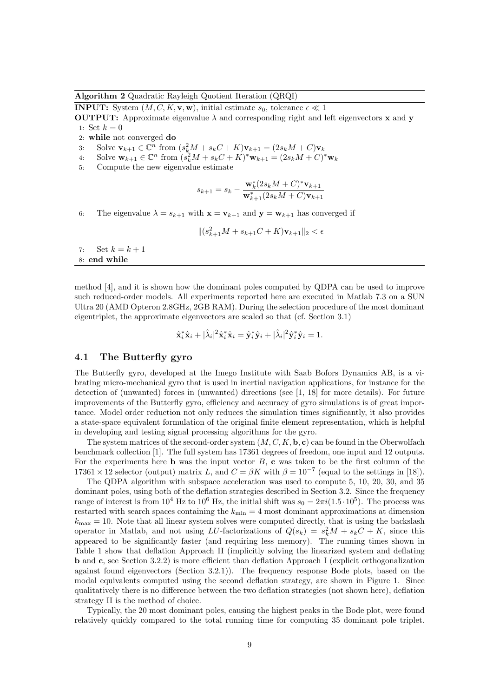Algorithm 2 Quadratic Rayleigh Quotient Iteration (QRQI)

**INPUT:** System  $(M, C, K, \mathbf{v}, \mathbf{w})$ , initial estimate  $s_0$ , tolerance  $\epsilon \ll 1$ 

**OUTPUT:** Approximate eigenvalue  $\lambda$  and corresponding right and left eigenvectors **x** and **y** 1: Set  $k = 0$ 

2: while not converged do

3: Solve  $\mathbf{v}_{k+1} \in \mathbb{C}^n$  from  $(s_k^2 M + s_k C + K)\mathbf{v}_{k+1} = (2s_k M + C)\mathbf{v}_k$ 

- 4: Solve  $\mathbf{w}_{k+1} \in \mathbb{C}^n$  from  $(s_k^2 M + s_k C + K)^* \mathbf{w}_{k+1} = (2s_k M + C)^* \mathbf{w}_k$
- 5: Compute the new eigenvalue estimate

$$
s_{k+1} = s_k - \frac{\mathbf{w}_k^*(2s_k M + C)^* \mathbf{v}_{k+1}}{\mathbf{w}_{k+1}^*(2s_k M + C) \mathbf{v}_{k+1}}
$$

6: The eigenvalue  $\lambda = s_{k+1}$  with  $\mathbf{x} = \mathbf{v}_{k+1}$  and  $\mathbf{y} = \mathbf{w}_{k+1}$  has converged if

$$
\|(s_{k+1}^2 M + s_{k+1}C + K)\mathbf{v}_{k+1}\|_2 < \epsilon
$$

7: Set  $k = k + 1$ 8: end while

method [4], and it is shown how the dominant poles computed by QDPA can be used to improve such reduced-order models. All experiments reported here are executed in Matlab 7.3 on a SUN Ultra 20 (AMD Opteron 2.8GHz, 2GB RAM). During the selection procedure of the most dominant eigentriplet, the approximate eigenvectors are scaled so that (cf. Section 3.1)

$$
\hat{\mathbf{x}}_i^* \hat{\mathbf{x}}_i + |\hat{\lambda}_i|^2 \hat{\mathbf{x}}_i^* \hat{\mathbf{x}}_i = \hat{\mathbf{y}}_i^* \hat{\mathbf{y}}_i + |\hat{\lambda}_i|^2 \hat{\mathbf{y}}_i^* \hat{\mathbf{y}}_i = 1.
$$

#### 4.1 The Butterfly gyro

The Butterfly gyro, developed at the Imego Institute with Saab Bofors Dynamics AB, is a vibrating micro-mechanical gyro that is used in inertial navigation applications, for instance for the detection of (unwanted) forces in (unwanted) directions (see [1, 18] for more details). For future improvements of the Butterfly gyro, efficiency and accuracy of gyro simulations is of great importance. Model order reduction not only reduces the simulation times significantly, it also provides a state-space equivalent formulation of the original finite element representation, which is helpful in developing and testing signal processing algorithms for the gyro.

The system matrices of the second-order system  $(M, C, K, \mathbf{b}, \mathbf{c})$  can be found in the Oberwolfach benchmark collection [1]. The full system has 17361 degrees of freedom, one input and 12 outputs. For the experiments here **b** was the input vector  $B$ , **c** was taken to be the first column of the 17361 × 12 selector (output) matrix L, and  $C = \beta K$  with  $\beta = 10^{-7}$  (equal to the settings in [18]).

The QDPA algorithm with subspace acceleration was used to compute 5, 10, 20, 30, and 35 dominant poles, using both of the deflation strategies described in Section 3.2. Since the frequency range of interest is from  $10^4$  Hz to  $10^6$  Hz, the initial shift was  $s_0 = 2\pi i (1.5 \cdot 10^5)$ . The process was restarted with search spaces containing the  $k_{\text{min}} = 4$  most dominant approximations at dimension  $k_{\text{max}} = 10$ . Note that all linear system solves were computed directly, that is using the backslash operator in Matlab, and not using LU-factorizations of  $Q(s_k) = s_k^2 M + s_k C + K$ , since this appeared to be significantly faster (and requiring less memory). The running times shown in Table 1 show that deflation Approach II (implicitly solving the linearized system and deflating b and c, see Section 3.2.2) is more efficient than deflation Approach I (explicit orthogonalization against found eigenvectors (Section 3.2.1)). The frequency response Bode plots, based on the modal equivalents computed using the second deflation strategy, are shown in Figure 1. Since qualitatively there is no difference between the two deflation strategies (not shown here), deflation strategy II is the method of choice.

Typically, the 20 most dominant poles, causing the highest peaks in the Bode plot, were found relatively quickly compared to the total running time for computing 35 dominant pole triplet.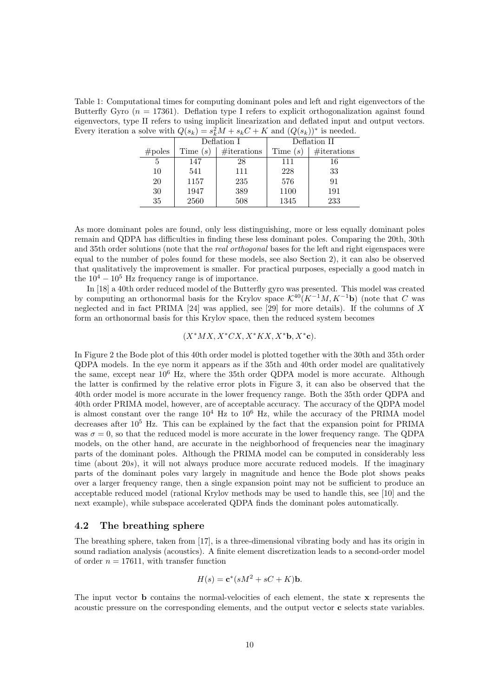Table 1: Computational times for computing dominant poles and left and right eigenvectors of the Butterfly Gyro  $(n = 17361)$ . Deflation type I refers to explicit orthogonalization against found eigenvectors, type II refers to using implicit linearization and deflated input and output vectors. Every iteration a solve with  $Q(s_k) = s_k^2 M + s_k C + K$  and  $(Q(s_k))^*$  is needed.

| $60110$ MICH $\mathcal{C}(0)$ |             |              |             |  |
|-------------------------------|-------------|--------------|-------------|--|
| Deflation I                   |             | Deflation II |             |  |
| Time $(s)$                    | #iterations | Time $(s)$   | #iterations |  |
| 147                           | 28          | 111          | 16          |  |
| 541                           | 111         | 228          | 33          |  |
| 1157                          | 235         | 576          | 91          |  |
| 1947                          | 389         | 1100         | 191         |  |
| 2560                          | 508         | 1345         | 233         |  |
|                               |             |              |             |  |

As more dominant poles are found, only less distinguishing, more or less equally dominant poles remain and QDPA has difficulties in finding these less dominant poles. Comparing the 20th, 30th and 35th order solutions (note that the *real orthogonal* bases for the left and right eigenspaces were equal to the number of poles found for these models, see also Section 2), it can also be observed that qualitatively the improvement is smaller. For practical purposes, especially a good match in the  $10^4 - 10^5$  Hz frequency range is of importance.

In [18] a 40th order reduced model of the Butterfly gyro was presented. This model was created by computing an orthonormal basis for the Krylov space  $K^{40}(K^{-1}M, K^{-1}b)$  (note that C was neglected and in fact PRIMA [24] was applied, see [29] for more details). If the columns of X form an orthonormal basis for this Krylov space, then the reduced system becomes

#### $(X^*MX, X^*CX, X^*KX, X^*b, X^*c).$

In Figure 2 the Bode plot of this 40th order model is plotted together with the 30th and 35th order QDPA models. In the eye norm it appears as if the 35th and 40th order model are qualitatively the same, except near 10<sup>6</sup> Hz, where the 35th order QDPA model is more accurate. Although the latter is confirmed by the relative error plots in Figure 3, it can also be observed that the 40th order model is more accurate in the lower frequency range. Both the 35th order QDPA and 40th order PRIMA model, however, are of acceptable accuracy. The accuracy of the QDPA model is almost constant over the range  $10^4$  Hz to  $10^6$  Hz, while the accuracy of the PRIMA model decreases after  $10^5$  Hz. This can be explained by the fact that the expansion point for PRIMA was  $\sigma = 0$ , so that the reduced model is more accurate in the lower frequency range. The QDPA models, on the other hand, are accurate in the neighborhood of frequencies near the imaginary parts of the dominant poles. Although the PRIMA model can be computed in considerably less time (about 20s), it will not always produce more accurate reduced models. If the imaginary parts of the dominant poles vary largely in magnitude and hence the Bode plot shows peaks over a larger frequency range, then a single expansion point may not be sufficient to produce an acceptable reduced model (rational Krylov methods may be used to handle this, see [10] and the next example), while subspace accelerated QDPA finds the dominant poles automatically.

#### 4.2 The breathing sphere

The breathing sphere, taken from [17], is a three-dimensional vibrating body and has its origin in sound radiation analysis (acoustics). A finite element discretization leads to a second-order model of order  $n = 17611$ , with transfer function

$$
H(s) = \mathbf{c}^*(sM^2 + sC + K)\mathbf{b}.
$$

The input vector b contains the normal-velocities of each element, the state x represents the acoustic pressure on the corresponding elements, and the output vector c selects state variables.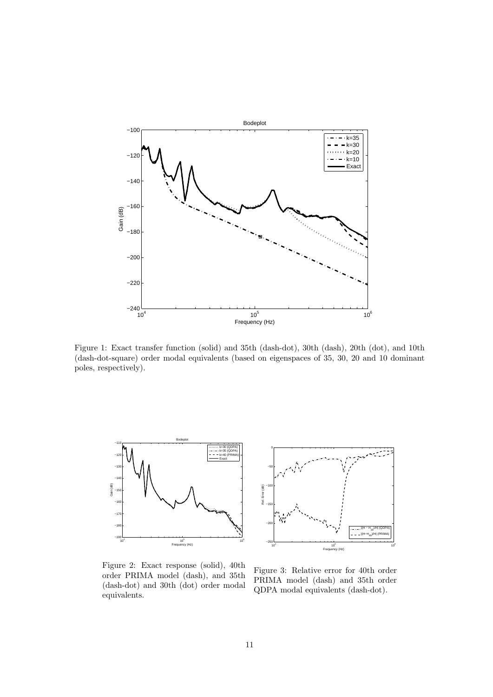

Figure 1: Exact transfer function (solid) and 35th (dash-dot), 30th (dash), 20th (dot), and 10th (dash-dot-square) order modal equivalents (based on eigenspaces of 35, 30, 20 and 10 dominant poles, respectively).



Figure 2: Exact response (solid), 40th order PRIMA model (dash), and 35th (dash-dot) and 30th (dot) order modal equivalents.



Figure 3: Relative error for 40th order PRIMA model (dash) and 35th order QDPA modal equivalents (dash-dot).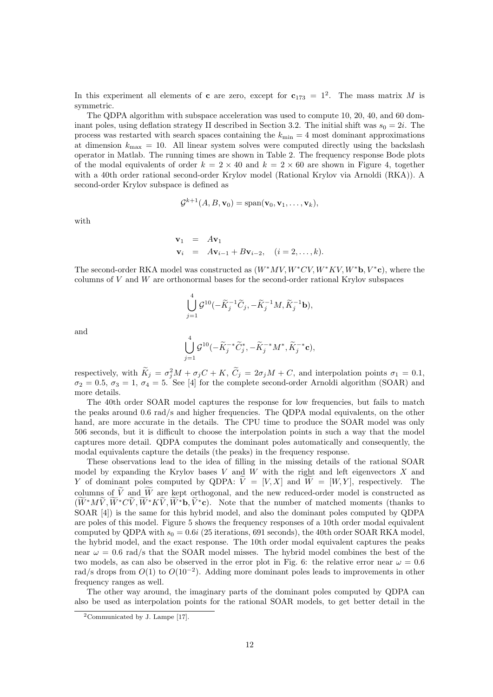In this experiment all elements of **c** are zero, except for  $c_{173} = 1^2$ . The mass matrix M is symmetric.

The QDPA algorithm with subspace acceleration was used to compute 10, 20, 40, and 60 dominant poles, using deflation strategy II described in Section 3.2. The initial shift was  $s_0 = 2i$ . The process was restarted with search spaces containing the  $k_{\text{min}} = 4$  most dominant approximations at dimension  $k_{\text{max}} = 10$ . All linear system solves were computed directly using the backslash operator in Matlab. The running times are shown in Table 2. The frequency response Bode plots of the modal equivalents of order  $k = 2 \times 40$  and  $k = 2 \times 60$  are shown in Figure 4, together with a 40th order rational second-order Krylov model (Rational Krylov via Arnoldi (RKA)). A second-order Krylov subspace is defined as

$$
\mathcal{G}^{k+1}(A, B, \mathbf{v}_0) = \mathrm{span}(\mathbf{v}_0, \mathbf{v}_1, \dots, \mathbf{v}_k),
$$

with

$$
\mathbf{v}_1 = A\mathbf{v}_1
$$
  

$$
\mathbf{v}_i = A\mathbf{v}_{i-1} + B\mathbf{v}_{i-2}, \quad (i = 2, \dots, k).
$$

The second-order RKA model was constructed as  $(W^*MV, W^*CV, W^*KV, W^*$ **b**,  $V^*$ **c**), where the columns of  $V$  and  $W$  are orthonormal bases for the second-order rational Krylov subspaces

$$
\bigcup_{j=1}^4 \mathcal{G}^{10}(-\widetilde{K}_j^{-1}\widetilde{C}_j, -\widetilde{K}_j^{-1}M, \widetilde{K}_j^{-1}\mathbf{b}),
$$

and

$$
\bigcup_{j=1}^4\mathcal{G}^{10}(-\widetilde{K}_{j}^{-*}\widetilde{C}_{j}^{*},-\widetilde{K}_{j}^{-*}M^{*},\widetilde{K}_{j}^{-*}\mathbf{c}),
$$

respectively, with  $K_j = \sigma_j^2 M + \sigma_j C + K$ ,  $\tilde{C}_j = 2\sigma_j M + C$ , and interpolation points  $\sigma_1 = 0.1$ ,  $\sigma_2 = 0.5, \sigma_3 = 1, \sigma_4 = 5.$  See [4] for the complete second-order Arnoldi algorithm (SOAR) and more details.

The 40th order SOAR model captures the response for low frequencies, but fails to match the peaks around 0.6 rad/s and higher frequencies. The QDPA modal equivalents, on the other hand, are more accurate in the details. The CPU time to produce the SOAR model was only 506 seconds, but it is difficult to choose the interpolation points in such a way that the model captures more detail. QDPA computes the dominant poles automatically and consequently, the modal equivalents capture the details (the peaks) in the frequency response.

These observations lead to the idea of filling in the missing details of the rational SOAR model by expanding the Krylov bases  $V$  and  $W$  with the right and left eigenvectors  $X$  and Y of dominant poles computed by QDPA:  $\widetilde{V} = [V, X]$  and  $\widetilde{W} = [W, Y]$ , respectively. The columns of  $\tilde{V}$  and  $\tilde{W}$  are kept orthogonal, and the new reduced-order model is constructed as  $(\widetilde{W}^*M\widetilde{V}, \widetilde{W}^*C\widetilde{V}, \widetilde{W}^*K\widetilde{V}, \widetilde{W}^*b, \widetilde{V}^*c)$ . Note that the number of matched moments (thanks to SOAR [4]) is the same for this hybrid model, and also the dominant poles computed by QDPA are poles of this model. Figure 5 shows the frequency responses of a 10th order modal equivalent computed by QDPA with  $s_0 = 0.6i$  (25 iterations, 691 seconds), the 40th order SOAR RKA model, the hybrid model, and the exact response. The 10th order modal equivalent captures the peaks near  $\omega = 0.6$  rad/s that the SOAR model misses. The hybrid model combines the best of the two models, as can also be observed in the error plot in Fig. 6: the relative error near  $\omega = 0.6$ rad/s drops from  $O(1)$  to  $O(10^{-2})$ . Adding more dominant poles leads to improvements in other frequency ranges as well.

The other way around, the imaginary parts of the dominant poles computed by QDPA can also be used as interpolation points for the rational SOAR models, to get better detail in the

<sup>2</sup>Communicated by J. Lampe [17].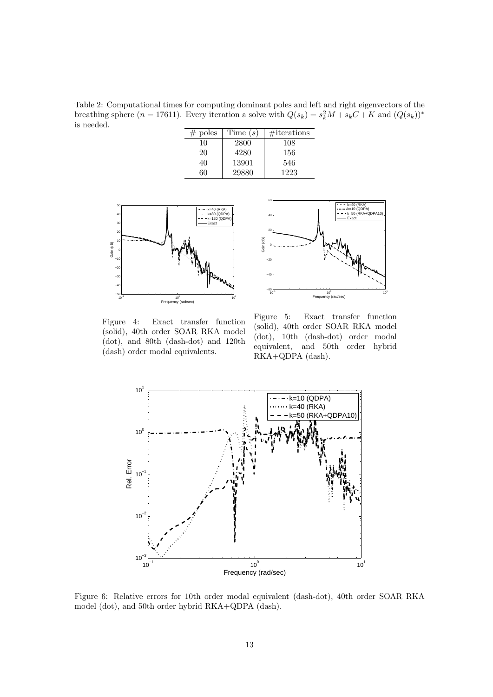Table 2: Computational times for computing dominant poles and left and right eigenvectors of the breathing sphere  $(n = 17611)$ . Every iteration a solve with  $Q(s_k) = s_k^2 M + s_k C + K$  and  $(Q(s_k))^*$ is needed.

| # poles | Time $(s)$ | $\#$ iterations |
|---------|------------|-----------------|
| 10      | 2800       | 108             |
| 20      | 4280       | 156             |
| 40      | 13901      | 546             |
| 60      | 29880      | 1223            |





Figure 4: Exact transfer function (solid), 40th order SOAR RKA model (dot), and 80th (dash-dot) and 120th (dash) order modal equivalents.

Figure 5: Exact transfer function (solid), 40th order SOAR RKA model (dot), 10th (dash-dot) order modal equivalent, and 50th order hybrid RKA+QDPA (dash).



Figure 6: Relative errors for 10th order modal equivalent (dash-dot), 40th order SOAR RKA model (dot), and 50th order hybrid RKA+QDPA (dash).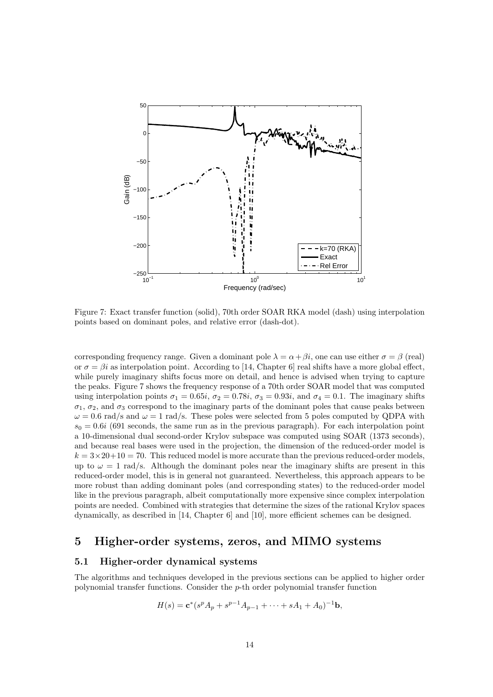

Figure 7: Exact transfer function (solid), 70th order SOAR RKA model (dash) using interpolation points based on dominant poles, and relative error (dash-dot).

corresponding frequency range. Given a dominant pole  $\lambda = \alpha + \beta i$ , one can use either  $\sigma = \beta$  (real) or  $\sigma = \beta i$  as interpolation point. According to [14, Chapter 6] real shifts have a more global effect, while purely imaginary shifts focus more on detail, and hence is advised when trying to capture the peaks. Figure 7 shows the frequency response of a 70th order SOAR model that was computed using interpolation points  $\sigma_1 = 0.65i$ ,  $\sigma_2 = 0.78i$ ,  $\sigma_3 = 0.93i$ , and  $\sigma_4 = 0.1$ . The imaginary shifts  $\sigma_1$ ,  $\sigma_2$ , and  $\sigma_3$  correspond to the imaginary parts of the dominant poles that cause peaks between  $\omega = 0.6$  rad/s and  $\omega = 1$  rad/s. These poles were selected from 5 poles computed by QDPA with  $s_0 = 0.6i$  (691 seconds, the same run as in the previous paragraph). For each interpolation point a 10-dimensional dual second-order Krylov subspace was computed using SOAR (1373 seconds), and because real bases were used in the projection, the dimension of the reduced-order model is  $k = 3 \times 20 + 10 = 70$ . This reduced model is more accurate than the previous reduced-order models, up to  $\omega = 1$  rad/s. Although the dominant poles near the imaginary shifts are present in this reduced-order model, this is in general not guaranteed. Nevertheless, this approach appears to be more robust than adding dominant poles (and corresponding states) to the reduced-order model like in the previous paragraph, albeit computationally more expensive since complex interpolation points are needed. Combined with strategies that determine the sizes of the rational Krylov spaces dynamically, as described in [14, Chapter 6] and [10], more efficient schemes can be designed.

# 5 Higher-order systems, zeros, and MIMO systems

#### 5.1 Higher-order dynamical systems

The algorithms and techniques developed in the previous sections can be applied to higher order polynomial transfer functions. Consider the p-th order polynomial transfer function

$$
H(s) = \mathbf{c}^*(s^p A_p + s^{p-1} A_{p-1} + \dots + sA_1 + A_0)^{-1} \mathbf{b},
$$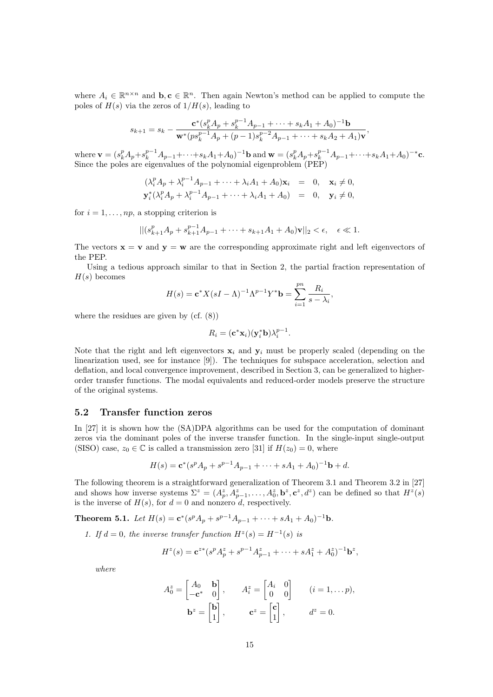where  $A_i \in \mathbb{R}^{n \times n}$  and  $\mathbf{b}, \mathbf{c} \in \mathbb{R}^n$ . Then again Newton's method can be applied to compute the poles of  $H(s)$  via the zeros of  $1/H(s)$ , leading to

$$
s_{k+1} = s_k - \frac{\mathbf{c}^*(s_k^p A_p + s_k^{p-1} A_{p-1} + \dots + s_k A_1 + A_0)^{-1} \mathbf{b}}{\mathbf{w}^*(ps_k^{p-1} A_p + (p-1)s_k^{p-2} A_{p-1} + \dots + s_k A_2 + A_1) \mathbf{v}},
$$

where  $\mathbf{v} = (s_k^p A_p + s_k^{p-1} A_{p-1} + \cdots + s_k A_1 + A_0)^{-1} \mathbf{b}$  and  $\mathbf{w} = (s_k^p A_p + s_k^{p-1} A_{p-1} + \cdots + s_k A_1 + A_0)^{-*} \mathbf{c}$ . Since the poles are eigenvalues of the polynomial eigenproblem (PEP)

$$
\begin{aligned}\n(\lambda_i^p A_p + \lambda_i^{p-1} A_{p-1} + \dots + \lambda_i A_1 + A_0) \mathbf{x}_i &= 0, \quad \mathbf{x}_i \neq 0, \\
\mathbf{y}_i^* (\lambda_i^p A_p + \lambda_i^{p-1} A_{p-1} + \dots + \lambda_i A_1 + A_0) &= 0, \quad \mathbf{y}_i \neq 0,\n\end{aligned}
$$

for  $i = 1, \ldots, np$ , a stopping criterion is

$$
||(s_{k+1}^p A_p + s_{k+1}^{p-1} A_{p-1} + \dots + s_{k+1} A_1 + A_0)\mathbf{v}||_2 < \epsilon, \quad \epsilon \ll 1.
$$

The vectors  $\mathbf{x} = \mathbf{v}$  and  $\mathbf{y} = \mathbf{w}$  are the corresponding approximate right and left eigenvectors of the PEP.

Using a tedious approach similar to that in Section 2, the partial fraction representation of  $H(s)$  becomes

$$
H(s) = \mathbf{c}^* X (sI - \Lambda)^{-1} \Lambda^{p-1} Y^* \mathbf{b} = \sum_{i=1}^{pn} \frac{R_i}{s - \lambda_i},
$$

where the residues are given by (cf. (8))

$$
R_i = (\mathbf{c}^* \mathbf{x}_i)(\mathbf{y}_i^* \mathbf{b}) \lambda_i^{p-1}.
$$

Note that the right and left eigenvectors  $x_i$  and  $y_i$  must be properly scaled (depending on the linearization used, see for instance [9]). The techniques for subspace acceleration, selection and deflation, and local convergence improvement, described in Section 3, can be generalized to higherorder transfer functions. The modal equivalents and reduced-order models preserve the structure of the original systems.

#### 5.2 Transfer function zeros

In [27] it is shown how the (SA)DPA algorithms can be used for the computation of dominant zeros via the dominant poles of the inverse transfer function. In the single-input single-output (SISO) case,  $z_0 \in \mathbb{C}$  is called a transmission zero [31] if  $H(z_0) = 0$ , where

$$
H(s) = \mathbf{c}^*(s^p A_p + s^{p-1} A_{p-1} + \dots + sA_1 + A_0)^{-1} \mathbf{b} + d.
$$

The following theorem is a straightforward generalization of Theorem 3.1 and Theorem 3.2 in [27] and shows how inverse systems  $\Sigma^z = (A_p^z, A_{p-1}^z, \ldots, A_0^z, \mathbf{b}^z, \mathbf{c}^z, d^z)$  can be defined so that  $H^z(s)$ is the inverse of  $H(s)$ , for  $d = 0$  and nonzero d, respectively.

**Theorem 5.1.** Let  $H(s) = \mathbf{c}^*(s^p A_p + s^{p-1} A_{p-1} + \cdots + s A_1 + A_0)^{-1} \mathbf{b}$ .

1. If  $d = 0$ , the inverse transfer function  $H^z(s) = H^{-1}(s)$  is

$$
H^{z}(s) = \mathbf{c}^{z*}(s^{p} A_{p}^{z} + s^{p-1} A_{p-1}^{z} + \cdots + s A_{1}^{z} + A_{0}^{z})^{-1} \mathbf{b}^{z},
$$

where

$$
A_0^z = \begin{bmatrix} A_0 & \mathbf{b} \\ -\mathbf{c}^* & 0 \end{bmatrix}, \qquad A_i^z = \begin{bmatrix} A_i & 0 \\ 0 & 0 \end{bmatrix} \qquad (i = 1, \dots p),
$$

$$
\mathbf{b}^z = \begin{bmatrix} \mathbf{b} \\ 1 \end{bmatrix}, \qquad \mathbf{c}^z = \begin{bmatrix} \mathbf{c} \\ 1 \end{bmatrix}, \qquad d^z = 0.
$$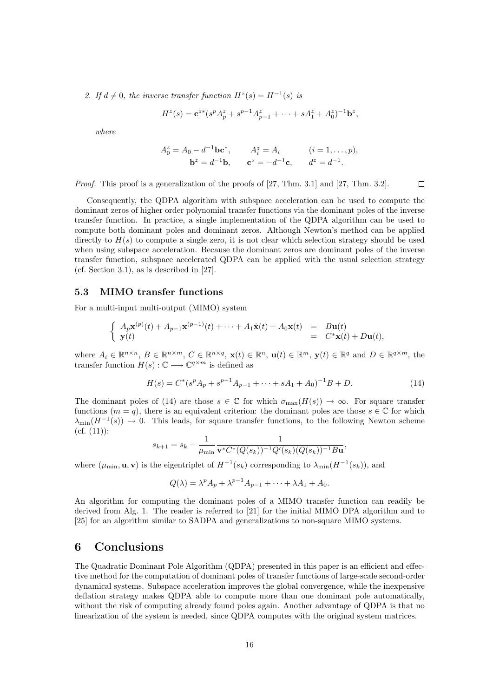2. If  $d \neq 0$ , the inverse transfer function  $H^z(s) = H^{-1}(s)$  is

$$
H^{z}(s) = \mathbf{c}^{z*} (s^{p} A_{p}^{z} + s^{p-1} A_{p-1}^{z} + \cdots + s A_{1}^{z} + A_{0}^{z})^{-1} \mathbf{b}^{z},
$$

where

$$
A_0^z = A_0 - d^{-1} \mathbf{b} \mathbf{c}^*,
$$
  $A_i^z = A_i$   $(i = 1, ..., p),$   
 $\mathbf{b}^z = d^{-1} \mathbf{b},$   $\mathbf{c}^z = -d^{-1} \mathbf{c},$   $d^z = d^{-1}.$ 

 $\Box$ 

Proof. This proof is a generalization of the proofs of [27, Thm. 3.1] and [27, Thm. 3.2].

Consequently, the QDPA algorithm with subspace acceleration can be used to compute the dominant zeros of higher order polynomial transfer functions via the dominant poles of the inverse transfer function. In practice, a single implementation of the QDPA algorithm can be used to compute both dominant poles and dominant zeros. Although Newton's method can be applied directly to  $H(s)$  to compute a single zero, it is not clear which selection strategy should be used when using subspace acceleration. Because the dominant zeros are dominant poles of the inverse transfer function, subspace accelerated QDPA can be applied with the usual selection strategy (cf. Section 3.1), as is described in [27].

#### 5.3 MIMO transfer functions

For a multi-input multi-output (MIMO) system

$$
\begin{cases}\nA_p \mathbf{x}^{(p)}(t) + A_{p-1} \mathbf{x}^{(p-1)}(t) + \dots + A_1 \dot{\mathbf{x}}(t) + A_0 \mathbf{x}(t) & = \mathbf{B} \mathbf{u}(t) \\
\mathbf{y}(t) & = \mathbf{C}^* \mathbf{x}(t) + D \mathbf{u}(t),\n\end{cases}
$$

where  $A_i \in \mathbb{R}^{n \times n}$ ,  $B \in \mathbb{R}^{n \times m}$ ,  $C \in \mathbb{R}^{n \times q}$ ,  $\mathbf{x}(t) \in \mathbb{R}^n$ ,  $\mathbf{u}(t) \in \mathbb{R}^m$ ,  $\mathbf{y}(t) \in \mathbb{R}^q$  and  $D \in \mathbb{R}^{q \times m}$ , the transfer function  $H(s) : \mathbb{C} \longrightarrow \mathbb{C}^{q \times m}$  is defined as

$$
H(s) = C^*(s^p A_p + s^{p-1} A_{p-1} + \dots + sA_1 + A_0)^{-1} B + D.
$$
 (14)

The dominant poles of (14) are those  $s \in \mathbb{C}$  for which  $\sigma_{\max}(H(s)) \to \infty$ . For square transfer functions  $(m = q)$ , there is an equivalent criterion: the dominant poles are those  $s \in \mathbb{C}$  for which  $\lambda_{\min}(H^{-1}(s)) \to 0$ . This leads, for square transfer functions, to the following Newton scheme  $(cf. (11))$ :

$$
s_{k+1} = s_k - \frac{1}{\mu_{\min}} \frac{1}{\mathbf{v}^* C^* (Q(s_k))^{-1} Q'(s_k) (Q(s_k))^{-1} B \mathbf{u}},
$$

where  $(\mu_{\min}, \mathbf{u}, \mathbf{v})$  is the eigentriplet of  $H^{-1}(s_k)$  corresponding to  $\lambda_{\min}(H^{-1}(s_k))$ , and

$$
Q(\lambda) = \lambda^p A_p + \lambda^{p-1} A_{p-1} + \dots + \lambda A_1 + A_0.
$$

An algorithm for computing the dominant poles of a MIMO transfer function can readily be derived from Alg. 1. The reader is referred to [21] for the initial MIMO DPA algorithm and to [25] for an algorithm similar to SADPA and generalizations to non-square MIMO systems.

#### 6 Conclusions

The Quadratic Dominant Pole Algorithm (QDPA) presented in this paper is an efficient and effective method for the computation of dominant poles of transfer functions of large-scale second-order dynamical systems. Subspace acceleration improves the global convergence, while the inexpensive deflation strategy makes QDPA able to compute more than one dominant pole automatically, without the risk of computing already found poles again. Another advantage of QDPA is that no linearization of the system is needed, since QDPA computes with the original system matrices.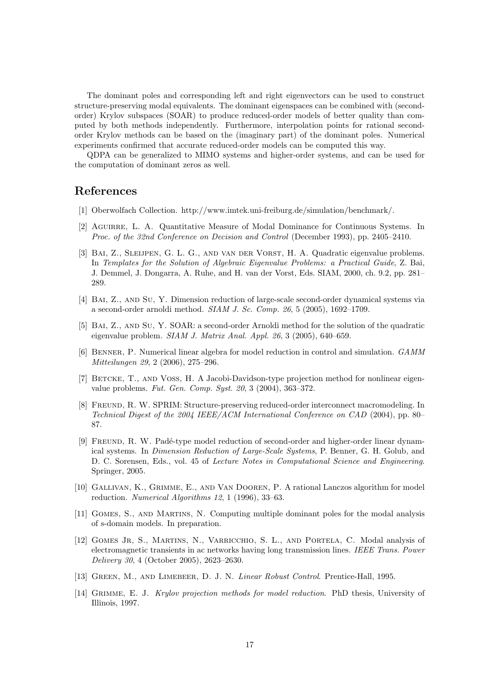The dominant poles and corresponding left and right eigenvectors can be used to construct structure-preserving modal equivalents. The dominant eigenspaces can be combined with (secondorder) Krylov subspaces (SOAR) to produce reduced-order models of better quality than computed by both methods independently. Furthermore, interpolation points for rational secondorder Krylov methods can be based on the (imaginary part) of the dominant poles. Numerical experiments confirmed that accurate reduced-order models can be computed this way.

QDPA can be generalized to MIMO systems and higher-order systems, and can be used for the computation of dominant zeros as well.

# References

- [1] Oberwolfach Collection. http://www.imtek.uni-freiburg.de/simulation/benchmark/.
- [2] Aguirre, L. A. Quantitative Measure of Modal Dominance for Continuous Systems. In Proc. of the 32nd Conference on Decision and Control (December 1993), pp. 2405–2410.
- [3] Bai, Z., Sleijpen, G. L. G., and van der Vorst, H. A. Quadratic eigenvalue problems. In Templates for the Solution of Algebraic Eigenvalue Problems: a Practical Guide, Z. Bai, J. Demmel, J. Dongarra, A. Ruhe, and H. van der Vorst, Eds. SIAM, 2000, ch. 9.2, pp. 281– 289.
- [4] Bai, Z., and Su, Y. Dimension reduction of large-scale second-order dynamical systems via a second-order arnoldi method. SIAM J. Sc. Comp. 26, 5 (2005), 1692–1709.
- [5] Bai, Z., and Su, Y. SOAR: a second-order Arnoldi method for the solution of the quadratic eigenvalue problem. SIAM J. Matrix Anal. Appl. 26, 3 (2005), 640–659.
- [6] Benner, P. Numerical linear algebra for model reduction in control and simulation. GAMM Mitteilungen 29, 2 (2006), 275–296.
- [7] BETCKE, T., AND VOSS, H. A Jacobi-Davidson-type projection method for nonlinear eigenvalue problems. Fut. Gen. Comp. Syst. 20, 3 (2004), 363–372.
- [8] Freund, R. W. SPRIM: Structure-preserving reduced-order interconnect macromodeling. In Technical Digest of the 2004 IEEE/ACM International Conference on CAD (2004), pp. 80– 87.
- [9] FREUND, R. W. Padé-type model reduction of second-order and higher-order linear dynamical systems. In Dimension Reduction of Large-Scale Systems, P. Benner, G. H. Golub, and D. C. Sorensen, Eds., vol. 45 of Lecture Notes in Computational Science and Engineering. Springer, 2005.
- [10] Gallivan, K., Grimme, E., and Van Dooren, P. A rational Lanczos algorithm for model reduction. Numerical Algorithms 12, 1 (1996), 33–63.
- [11] Gomes, S., and Martins, N. Computing multiple dominant poles for the modal analysis of s-domain models. In preparation.
- [12] Gomes Jr, S., Martins, N., Varricchio, S. L., and Portela, C. Modal analysis of electromagnetic transients in ac networks having long transmission lines. IEEE Trans. Power Delivery 30, 4 (October 2005), 2623–2630.
- [13] GREEN, M., AND LIMEBEER, D. J. N. *Linear Robust Control.* Prentice-Hall, 1995.
- [14] Grimme, E. J. Krylov projection methods for model reduction. PhD thesis, University of Illinois, 1997.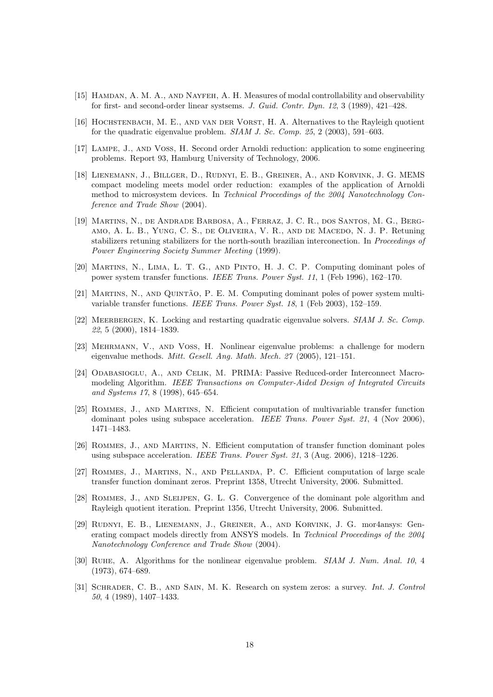- [15] Hamdan, A. M. A., and Nayfeh, A. H. Measures of modal controllability and observability for first- and second-order linear systsems. J. Guid. Contr. Dyn. 12, 3 (1989), 421–428.
- [16] Hochstenbach, M. E., and van der Vorst, H. A. Alternatives to the Rayleigh quotient for the quadratic eigenvalue problem. SIAM J. Sc. Comp. 25, 2 (2003), 591–603.
- [17] Lampe, J., and Voss, H. Second order Arnoldi reduction: application to some engineering problems. Report 93, Hamburg University of Technology, 2006.
- [18] Lienemann, J., Billger, D., Rudnyi, E. B., Greiner, A., and Korvink, J. G. MEMS compact modeling meets model order reduction: examples of the application of Arnoldi method to microsystem devices. In Technical Proceedings of the 2004 Nanotechnology Conference and Trade Show (2004).
- [19] Martins, N., de Andrade Barbosa, A., Ferraz, J. C. R., dos Santos, M. G., Bergamo, A. L. B., Yung, C. S., de Oliveira, V. R., and de Macedo, N. J. P. Retuning stabilizers retuning stabilizers for the north-south brazilian interconection. In Proceedings of Power Engineering Society Summer Meeting (1999).
- [20] Martins, N., Lima, L. T. G., and Pinto, H. J. C. P. Computing dominant poles of power system transfer functions. IEEE Trans. Power Syst. 11, 1 (Feb 1996), 162–170.
- [21] MARTINS, N., AND QUINTÃO, P. E. M. Computing dominant poles of power system multivariable transfer functions. IEEE Trans. Power Syst. 18, 1 (Feb 2003), 152–159.
- [22] MEERBERGEN, K. Locking and restarting quadratic eigenvalue solvers. SIAM J. Sc. Comp. 22, 5 (2000), 1814–1839.
- [23] Mehrmann, V., and Voss, H. Nonlinear eigenvalue problems: a challenge for modern eigenvalue methods. Mitt. Gesell. Ang. Math. Mech. 27 (2005), 121–151.
- [24] Odabasioglu, A., and Celik, M. PRIMA: Passive Reduced-order Interconnect Macromodeling Algorithm. IEEE Transactions on Computer-Aided Design of Integrated Circuits and Systems 17, 8 (1998), 645–654.
- [25] Rommes, J., and Martins, N. Efficient computation of multivariable transfer function dominant poles using subspace acceleration. IEEE Trans. Power Syst. 21, 4 (Nov 2006), 1471–1483.
- [26] Rommes, J., and Martins, N. Efficient computation of transfer function dominant poles using subspace acceleration. IEEE Trans. Power Syst. 21, 3 (Aug. 2006), 1218–1226.
- [27] Rommes, J., Martins, N., and Pellanda, P. C. Efficient computation of large scale transfer function dominant zeros. Preprint 1358, Utrecht University, 2006. Submitted.
- [28] Rommes, J., and Sleijpen, G. L. G. Convergence of the dominant pole algorithm and Rayleigh quotient iteration. Preprint 1356, Utrecht University, 2006. Submitted.
- [29] Rudnyi, E. B., Lienemann, J., Greiner, A., and Korvink, J. G. mor4ansys: Generating compact models directly from ANSYS models. In Technical Proceedings of the 2004 Nanotechnology Conference and Trade Show (2004).
- [30] Ruhe, A. Algorithms for the nonlinear eigenvalue problem. SIAM J. Num. Anal. 10, 4 (1973), 674–689.
- [31] Schrader, C. B., and Sain, M. K. Research on system zeros: a survey. Int. J. Control 50, 4 (1989), 1407–1433.